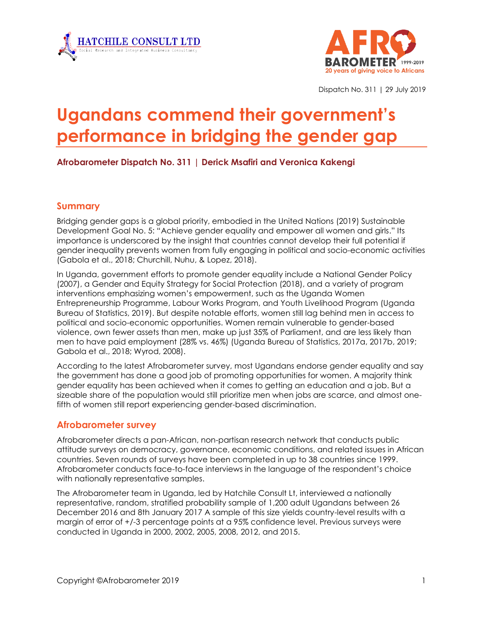



Dispatch No. 311 | 29 July 2019

# **Ugandans commend their government's performance in bridging the gender gap**

### **Afrobarometer Dispatch No. 311 | Derick Msafiri and Veronica Kakengi**

#### **Summary**

Bridging gender gaps is a global priority, embodied in the United Nations (2019) Sustainable Development Goal No. 5: "Achieve gender equality and empower all women and girls." Its importance is underscored by the insight that countries cannot develop their full potential if gender inequality prevents women from fully engaging in political and socio-economic activities (Gabola et al., 2018; Churchill, Nuhu, & Lopez, 2018).

In Uganda, government efforts to promote gender equality include a National Gender Policy (2007), a Gender and Equity Strategy for Social Protection (2018), and a variety of program interventions emphasizing women's empowerment, such as the Uganda Women Entrepreneurship Programme, Labour Works Program, and Youth Livelihood Program (Uganda Bureau of Statistics, 2019). But despite notable efforts, women still lag behind men in access to political and socio-economic opportunities. Women remain vulnerable to gender-based violence, own fewer assets than men, make up just 35% of Parliament, and are less likely than men to have paid employment (28% vs. 46%) (Uganda Bureau of Statistics, 2017a, 2017b, 2019; Gabola et al., 2018; Wyrod, 2008).

According to the latest Afrobarometer survey, most Ugandans endorse gender equality and say the government has done a good job of promoting opportunities for women. A majority think gender equality has been achieved when it comes to getting an education and a job. But a sizeable share of the population would still prioritize men when jobs are scarce, and almost onefifth of women still report experiencing gender-based discrimination.

#### **Afrobarometer survey**

Afrobarometer directs a pan-African, non-partisan research network that conducts public attitude surveys on democracy, governance, economic conditions, and related issues in African countries. Seven rounds of surveys have been completed in up to 38 countries since 1999. Afrobarometer conducts face-to-face interviews in the language of the respondent's choice with nationally representative samples.

The Afrobarometer team in Uganda, led by Hatchile Consult Lt, interviewed a nationally representative, random, stratified probability sample of 1,200 adult Ugandans between 26 December 2016 and 8th January 2017 A sample of this size yields country-level results with a margin of error of +/-3 percentage points at a 95% confidence level. Previous surveys were conducted in Uganda in 2000, 2002, 2005, 2008, 2012, and 2015.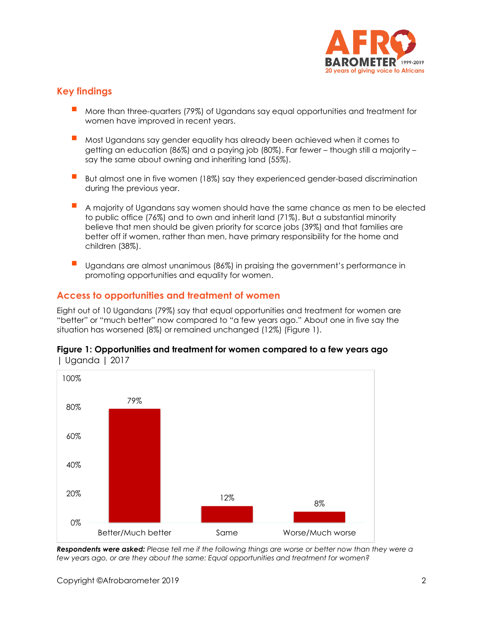

# **Key findings**

- More than three-quarters (79%) of Ugandans say equal opportunities and treatment for women have improved in recent years.
- Most Ugandans say gender equality has already been achieved when it comes to getting an education (86%) and a paying job (80%). Far fewer – though still a majority – say the same about owning and inheriting land (55%).
- But almost one in five women (18%) say they experienced gender-based discrimination during the previous year.
- A majority of Ugandans say women should have the same chance as men to be elected to public office (76%) and to own and inherit land (71%). But a substantial minority believe that men should be given priority for scarce jobs (39%) and that families are better off if women, rather than men, have primary responsibility for the home and children (38%).
- Ugandans are almost unanimous (86%) in praising the government's performance in promoting opportunities and equality for women.

# **Access to opportunities and treatment of women**

Eight out of 10 Ugandans (79%) say that equal opportunities and treatment for women are "better" or "much better" now compared to "a few years ago." About one in five say the situation has worsened (8%) or remained unchanged (12%) (Figure 1).



#### **Figure 1: Opportunities and treatment for women compared to a few years ago**  | Uganda | 2017

*Respondents were asked: Please tell me if the following things are worse or better now than they were a few years ago, or are they about the same: Equal opportunities and treatment for women?*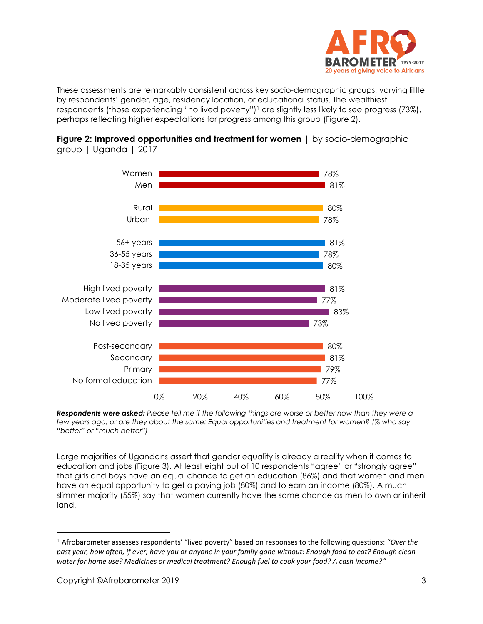

These assessments are remarkably consistent across key socio-demographic groups, varying little by respondents' gender, age, residency location, or educational status. The wealthiest respondents (those experiencing "no lived poverty")<sup>1</sup> are slightly less likely to see progress (73%), perhaps reflecting higher expectations for progress among this group (Figure 2).



**Figure 2: Improved opportunities and treatment for women** | by socio-demographic group | Uganda | 2017

*Respondents were asked: Please tell me if the following things are worse or better now than they were a few years ago, or are they about the same: Equal opportunities and treatment for women? (% who say "better" or "much better")*

Large majorities of Ugandans assert that gender equality is already a reality when it comes to education and jobs (Figure 3). At least eight out of 10 respondents "agree" or "strongly agree" that girls and boys have an equal chance to get an education (86%) and that women and men have an equal opportunity to get a paying job (80%) and to earn an income (80%). A much slimmer majority (55%) say that women currently have the same chance as men to own or inherit land.

<sup>1</sup> Afrobarometer assesses respondents' "lived poverty" based on responses to the following questions: "*Over the past year, how often, if ever, have you or anyone in your family gone without: Enough food to eat? Enough clean water for home use? Medicines or medical treatment? Enough fuel to cook your food? A cash income?"*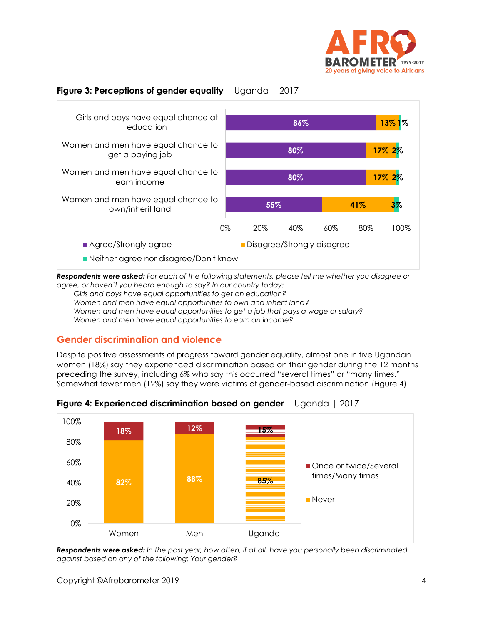

#### **Figure 3: Perceptions of gender equality** | Uganda | 2017



*Respondents were asked: For each of the following statements, please tell me whether you disagree or agree, or haven't you heard enough to say? In our country today:* 

*Girls and boys have equal opportunities to get an education? Women and men have equal opportunities to own and inherit land? Women and men have equal opportunities to get a job that pays a wage or salary? Women and men have equal opportunities to earn an income?* 

# **Gender discrimination and violence**

Despite positive assessments of progress toward gender equality, almost one in five Ugandan women (18%) say they experienced discrimination based on their gender during the 12 months preceding the survey, including 6% who say this occurred "several times" or "many times." Somewhat fewer men (12%) say they were victims of gender-based discrimination (Figure 4).



**Figure 4: Experienced discrimination based on gender** | Uganda | 2017

*Respondents were asked: In the past year, how often, if at all, have you personally been discriminated against based on any of the following: Your gender?*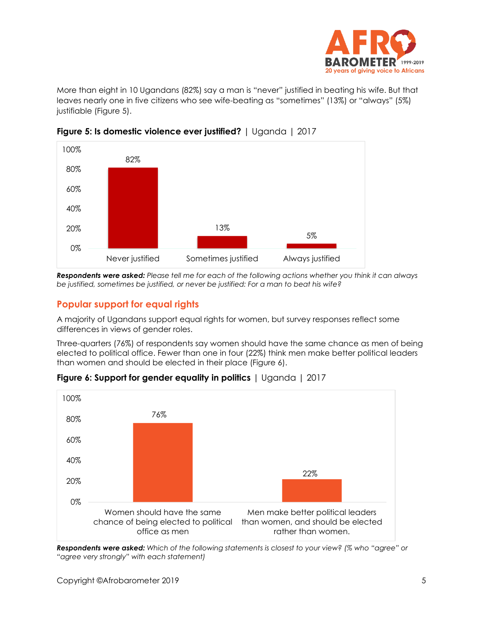

More than eight in 10 Ugandans (82%) say a man is "never" justified in beating his wife. But that leaves nearly one in five citizens who see wife-beating as "sometimes" (13%) or "always" (5%) justifiable (Figure 5).



**Figure 5: Is domestic violence ever justified?** | Uganda | 2017

*Respondents were asked: Please tell me for each of the following actions whether you think it can always be justified, sometimes be justified, or never be justified: For a man to beat his wife?*

# **Popular support for equal rights**

A majority of Ugandans support equal rights for women, but survey responses reflect some differences in views of gender roles.

Three-quarters (76%) of respondents say women should have the same chance as men of being elected to political office. Fewer than one in four (22%) think men make better political leaders than women and should be elected in their place (Figure 6).



**Figure 6: Support for gender equality in politics** | Uganda | 2017

*Respondents were asked: Which of the following statements is closest to your view? (% who "agree" or "agree very strongly" with each statement)*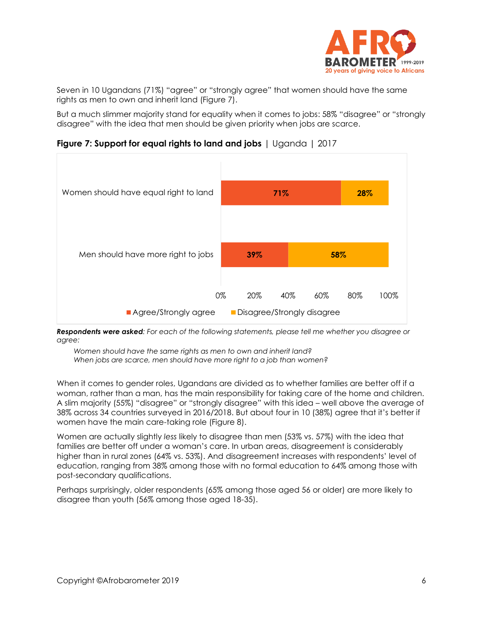

Seven in 10 Ugandans (71%) "agree" or "strongly agree" that women should have the same rights as men to own and inherit land (Figure 7).

But a much slimmer majority stand for equality when it comes to jobs: 58% "disagree" or "strongly disagree" with the idea that men should be given priority when jobs are scarce.

**Figure 7: Support for equal rights to land and jobs** | Uganda | 2017



*Respondents were asked: For each of the following statements, please tell me whether you disagree or agree:* 

*Women should have the same rights as men to own and inherit land? When jobs are scarce, men should have more right to a job than women?*

When it comes to gender roles, Ugandans are divided as to whether families are better off if a woman, rather than a man, has the main responsibility for taking care of the home and children. A slim majority (55%) "disagree" or "strongly disagree" with this idea – well above the average of 38% across 34 countries surveyed in 2016/2018. But about four in 10 (38%) agree that it's better if women have the main care-taking role (Figure 8).

Women are actually slightly *less* likely to disagree than men (53% vs. 57%) with the idea that families are better off under a woman's care. In urban areas, disagreement is considerably higher than in rural zones (64% vs. 53%). And disagreement increases with respondents' level of education, ranging from 38% among those with no formal education to 64% among those with post-secondary qualifications.

Perhaps surprisingly, older respondents (65% among those aged 56 or older) are more likely to disagree than youth (56% among those aged 18-35).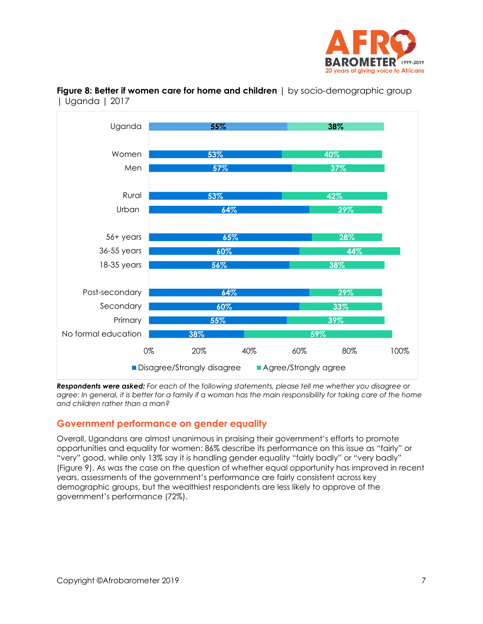



**Figure 8: Better if women care for home and children** | by socio-demographic group | Uganda | 2017

*Respondents were asked: For each of the following statements, please tell me whether you disagree or agree: In general, it is better for a family if a woman has the main responsibility for taking care of the home and children rather than a man?*

# **Government performance on gender equality**

Overall, Ugandans are almost unanimous in praising their government's efforts to promote opportunities and equality for women: 86% describe its performance on this issue as "fairly" or "very" good, while only 13% say it is handling gender equality "fairly badly" or "very badly" (Figure 9). As was the case on the question of whether equal opportunity has improved in recent years, assessments of the government's performance are fairly consistent across key demographic groups, but the wealthiest respondents are less likely to approve of the government's performance (72%).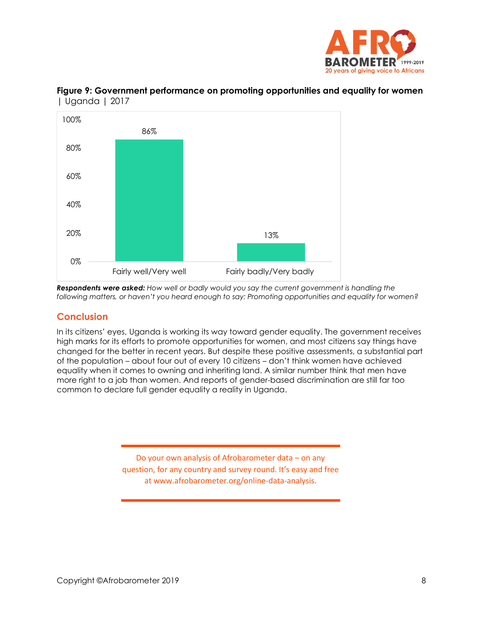



**Figure 9: Government performance on promoting opportunities and equality for women**  | Uganda | 2017

*Respondents were asked: How well or badly would you say the current government is handling the following matters, or haven't you heard enough to say: Promoting opportunities and equality for women?* 

#### **Conclusion**

In its citizens' eyes, Uganda is working its way toward gender equality. The government receives high marks for its efforts to promote opportunities for women, and most citizens say things have changed for the better in recent years. But despite these positive assessments, a substantial part of the population – about four out of every 10 citizens – don't think women have achieved equality when it comes to owning and inheriting land. A similar number think that men have more right to a job than women. And reports of gender-based discrimination are still far too common to declare full gender equality a reality in Uganda.

> Do your own analysis of Afrobarometer data – on any question, for any country and survey round. It's easy and free at www.afrobarometer.org/online-data-analysis.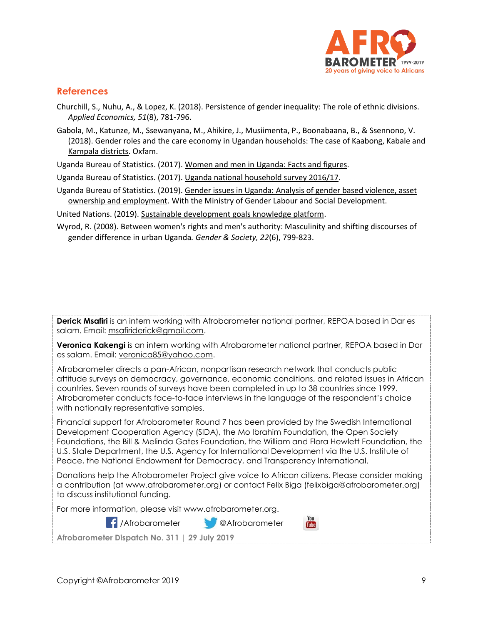

#### **References**

Churchill, S., Nuhu, A., & Lopez, K. (2018). Persistence of gender inequality: The role of ethnic divisions. *Applied Economics, 51*(8), 781-796.

Gabola, M., Katunze, M., Ssewanyana, M., Ahikire, J., Musiimenta, P., Boonabaana, B., & Ssennono, V. (2018)[. Gender roles and the care economy in Ugandan households: The case of Kaabong, Kabale and](https://uganda.oxfam.org/latest/policy-paper/gender-roles-and-care-economy-ugandan-households)  [Kampala districts.](https://uganda.oxfam.org/latest/policy-paper/gender-roles-and-care-economy-ugandan-households) Oxfam.

Uganda Bureau of Statistics. (2017). [Women and men in Uganda: Facts and figures.](https://www.ubos.org/wp-content/uploads/publications/06_2018women_and__men_in_uganda_FF2016.pdf)

Uganda Bureau of Statistics. (2017). [Uganda national household survey 2016/17.](https://www.ubos.org/onlinefiles/uploads/ubos/pdf%20documents/UNHS_VI_2017_Version_I_%2027th_September_2017.pdf)

Uganda Bureau of Statistics. (2019). Gender issues [in Uganda: Analysis of gender](https://www.ubos.org/wp-content/uploads/publications/03_2019UBOS_Gender_Issues_Report_2019.pdf) based violence, asset [ownership and employment.](https://www.ubos.org/wp-content/uploads/publications/03_2019UBOS_Gender_Issues_Report_2019.pdf) With the Ministry of Gender Labour and Social Development.

United Nations. (2019)[. Sustainable development goals knowledge platform.](https://sustainabledevelopment.un.org/sdg5)

Wyrod, R. (2008). Between women's rights and men's authority: Masculinity and shifting discourses of gender difference in urban Uganda*. Gender & Society, 22*(6), 799-823.

**Derick Msafiri** is an intern working with Afrobarometer national partner, REPOA based in Dar es salam. Email: [msafiriderick@gmail.com.](mailto:msafiriderick@gmail.com)

**Veronica Kakengi** is an intern working with Afrobarometer national partner, REPOA based in Dar es salam. Email: [veronica85@yahoo.com.](mailto:veronica85@yahoo.com)

Afrobarometer directs a pan-African, nonpartisan research network that conducts public attitude surveys on democracy, governance, economic conditions, and related issues in African countries. Seven rounds of surveys have been completed in up to 38 countries since 1999. Afrobarometer conducts face-to-face interviews in the language of the respondent's choice with nationally representative samples.

Financial support for Afrobarometer Round 7 has been provided by the Swedish International Development Cooperation Agency (SIDA), the Mo Ibrahim Foundation, the Open Society Foundations, the Bill & Melinda Gates Foundation, the William and Flora Hewlett Foundation, the U.S. State Department, the U.S. Agency for International Development via the U.S. Institute of Peace, the National Endowment for Democracy, and Transparency International.

Donations help the Afrobarometer Project give voice to African citizens. Please consider making a contribution (at www.afrobarometer.org) or contact Felix Biga (felixbiga@afrobarometer.org) to discuss institutional funding.

For more information, please visit www.afrobarometer.org.



You **Tube** 

**Afrobarometer Dispatch No. 311 | 29 July 2019**